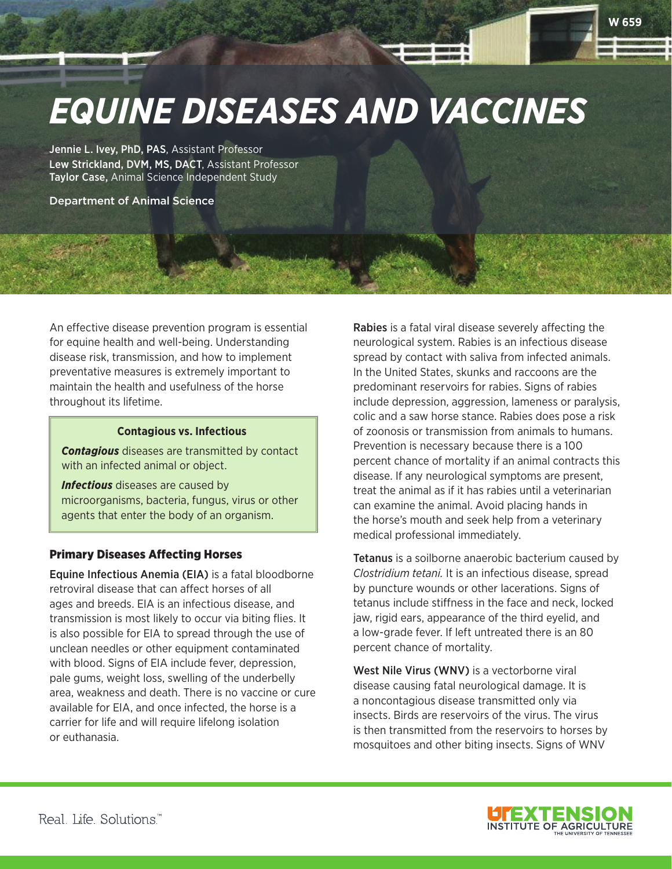

Jennie L. Ivey, PhD, PAS, Assistant Professor Lew Strickland, DVM, MS, DACT, Assistant Professor Taylor Case, Animal Science Independent Study

Department of Animal Science

An effective disease prevention program is essential for equine health and well-being. Understanding disease risk, transmission, and how to implement preventative measures is extremely important to maintain the health and usefulness of the horse throughout its lifetime.

#### **Contagious vs. Infectious**

*Contagious* diseases are transmitted by contact with an infected animal or object.

*Infectious* diseases are caused by microorganisms, bacteria, fungus, virus or other agents that enter the body of an organism.

## Primary Diseases Affecting Horses

Equine Infectious Anemia (EIA) is a fatal bloodborne retroviral disease that can affect horses of all ages and breeds. EIA is an infectious disease, and transmission is most likely to occur via biting flies. It is also possible for EIA to spread through the use of unclean needles or other equipment contaminated with blood. Signs of EIA include fever, depression, pale gums, weight loss, swelling of the underbelly area, weakness and death. There is no vaccine or cure available for EIA, and once infected, the horse is a carrier for life and will require lifelong isolation or euthanasia.

Rabies is a fatal viral disease severely affecting the neurological system. Rabies is an infectious disease spread by contact with saliva from infected animals. In the United States, skunks and raccoons are the predominant reservoirs for rabies. Signs of rabies include depression, aggression, lameness or paralysis, colic and a saw horse stance. Rabies does pose a risk of zoonosis or transmission from animals to humans. Prevention is necessary because there is a 100 percent chance of mortality if an animal contracts this disease. If any neurological symptoms are present, treat the animal as if it has rabies until a veterinarian can examine the animal. Avoid placing hands in the horse's mouth and seek help from a veterinary medical professional immediately.

**W 659**

Tetanus is a soilborne anaerobic bacterium caused by *Clostridium tetani.* It is an infectious disease, spread by puncture wounds or other lacerations. Signs of tetanus include stiffness in the face and neck, locked jaw, rigid ears, appearance of the third eyelid, and a low-grade fever. If left untreated there is an 80 percent chance of mortality.

West Nile Virus (WNV) is a vectorborne viral disease causing fatal neurological damage. It is a noncontagious disease transmitted only via insects. Birds are reservoirs of the virus. The virus is then transmitted from the reservoirs to horses by mosquitoes and other biting insects. Signs of WNV

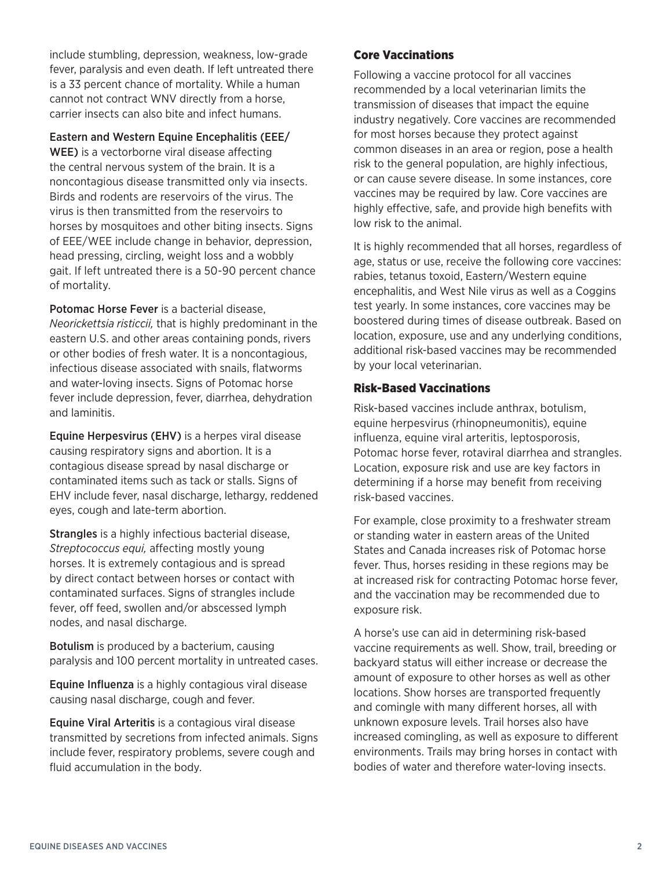include stumbling, depression, weakness, low-grade fever, paralysis and even death. If left untreated there is a 33 percent chance of mortality. While a human cannot not contract WNV directly from a horse, carrier insects can also bite and infect humans.

Eastern and Western Equine Encephalitis (EEE/

WEE) is a vectorborne viral disease affecting the central nervous system of the brain. It is a noncontagious disease transmitted only via insects. Birds and rodents are reservoirs of the virus. The virus is then transmitted from the reservoirs to horses by mosquitoes and other biting insects. Signs of EEE/WEE include change in behavior, depression, head pressing, circling, weight loss and a wobbly gait. If left untreated there is a 50-90 percent chance of mortality.

Potomac Horse Fever is a bacterial disease, *Neorickettsia risticcii,* that is highly predominant in the eastern U.S. and other areas containing ponds, rivers or other bodies of fresh water. It is a noncontagious, infectious disease associated with snails, flatworms and water-loving insects. Signs of Potomac horse fever include depression, fever, diarrhea, dehydration and laminitis.

Equine Herpesvirus (EHV) is a herpes viral disease causing respiratory signs and abortion. It is a contagious disease spread by nasal discharge or contaminated items such as tack or stalls. Signs of EHV include fever, nasal discharge, lethargy, reddened eyes, cough and late-term abortion.

Strangles is a highly infectious bacterial disease, *Streptococcus equi,* affecting mostly young horses. It is extremely contagious and is spread by direct contact between horses or contact with contaminated surfaces. Signs of strangles include fever, off feed, swollen and/or abscessed lymph nodes, and nasal discharge.

Botulism is produced by a bacterium, causing paralysis and 100 percent mortality in untreated cases.

Equine Influenza is a highly contagious viral disease causing nasal discharge, cough and fever.

Equine Viral Arteritis is a contagious viral disease transmitted by secretions from infected animals. Signs include fever, respiratory problems, severe cough and fluid accumulation in the body.

# Core Vaccinations

Following a vaccine protocol for all vaccines recommended by a local veterinarian limits the transmission of diseases that impact the equine industry negatively. Core vaccines are recommended for most horses because they protect against common diseases in an area or region, pose a health risk to the general population, are highly infectious, or can cause severe disease. In some instances, core vaccines may be required by law. Core vaccines are highly effective, safe, and provide high benefits with low risk to the animal.

It is highly recommended that all horses, regardless of age, status or use, receive the following core vaccines: rabies, tetanus toxoid, Eastern/Western equine encephalitis, and West Nile virus as well as a Coggins test yearly. In some instances, core vaccines may be boostered during times of disease outbreak. Based on location, exposure, use and any underlying conditions, additional risk-based vaccines may be recommended by your local veterinarian.

# Risk-Based Vaccinations

Risk-based vaccines include anthrax, botulism, equine herpesvirus (rhinopneumonitis), equine influenza, equine viral arteritis, leptosporosis, Potomac horse fever, rotaviral diarrhea and strangles. Location, exposure risk and use are key factors in determining if a horse may benefit from receiving risk-based vaccines.

For example, close proximity to a freshwater stream or standing water in eastern areas of the United States and Canada increases risk of Potomac horse fever. Thus, horses residing in these regions may be at increased risk for contracting Potomac horse fever, and the vaccination may be recommended due to exposure risk.

A horse's use can aid in determining risk-based vaccine requirements as well. Show, trail, breeding or backyard status will either increase or decrease the amount of exposure to other horses as well as other locations. Show horses are transported frequently and comingle with many different horses, all with unknown exposure levels. Trail horses also have increased comingling, as well as exposure to different environments. Trails may bring horses in contact with bodies of water and therefore water-loving insects.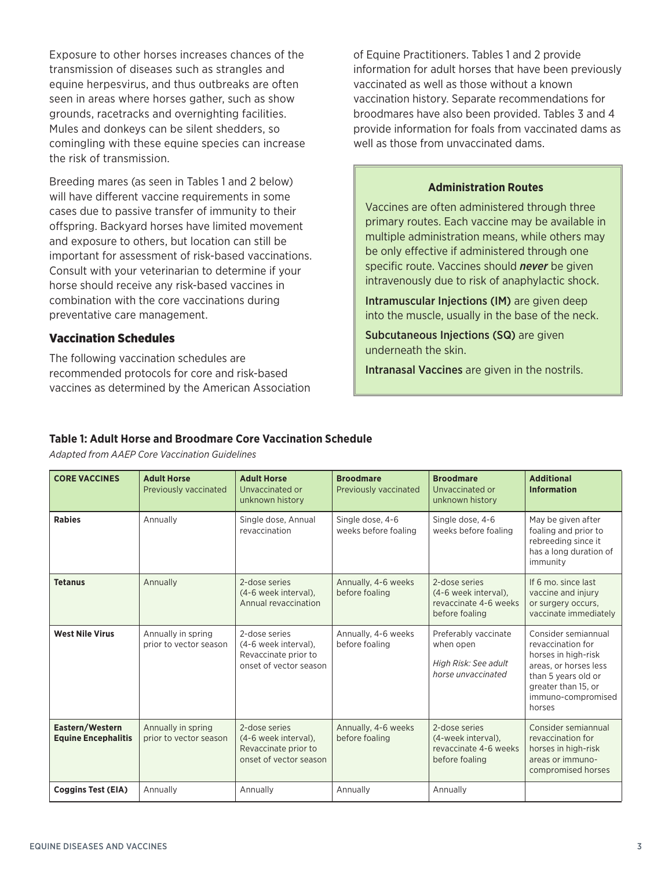Exposure to other horses increases chances of the transmission of diseases such as strangles and equine herpesvirus, and thus outbreaks are often seen in areas where horses gather, such as show grounds, racetracks and overnighting facilities. Mules and donkeys can be silent shedders, so comingling with these equine species can increase the risk of transmission.

Breeding mares (as seen in Tables 1 and 2 below) will have different vaccine requirements in some cases due to passive transfer of immunity to their offspring. Backyard horses have limited movement and exposure to others, but location can still be important for assessment of risk-based vaccinations. Consult with your veterinarian to determine if your horse should receive any risk-based vaccines in combination with the core vaccinations during preventative care management.

### Vaccination Schedules

The following vaccination schedules are recommended protocols for core and risk-based vaccines as determined by the American Association of Equine Practitioners. Tables 1 and 2 provide information for adult horses that have been previously vaccinated as well as those without a known vaccination history. Separate recommendations for broodmares have also been provided. Tables 3 and 4 provide information for foals from vaccinated dams as well as those from unvaccinated dams.

#### **Administration Routes**

Vaccines are often administered through three primary routes. Each vaccine may be available in multiple administration means, while others may be only effective if administered through one specific route. Vaccines should *never* be given intravenously due to risk of anaphylactic shock.

Intramuscular Injections (IM) are given deep into the muscle, usually in the base of the neck.

Subcutaneous Injections (SQ) are given underneath the skin.

Intranasal Vaccines are given in the nostrils.

## **Table 1: Adult Horse and Broodmare Core Vaccination Schedule**

*Adapted from AAEP Core Vaccination Guidelines*

| <b>CORE VACCINES</b>                          | <b>Adult Horse</b><br>Previously vaccinated  | <b>Adult Horse</b><br>Unvaccinated or<br>unknown history                                | <b>Broodmare</b><br>Previously vaccinated | <b>Broodmare</b><br>Unvaccinated or<br>unknown history                           | <b>Additional</b><br><b>Information</b>                                                                                                                                |
|-----------------------------------------------|----------------------------------------------|-----------------------------------------------------------------------------------------|-------------------------------------------|----------------------------------------------------------------------------------|------------------------------------------------------------------------------------------------------------------------------------------------------------------------|
| <b>Rabies</b>                                 | Annually                                     | Single dose, Annual<br>revaccination                                                    | Single dose, 4-6<br>weeks before foaling  | Single dose, 4-6<br>weeks before foaling                                         | May be given after<br>foaling and prior to<br>rebreeding since it<br>has a long duration of<br>immunity                                                                |
| <b>Tetanus</b>                                | Annually                                     | 2-dose series<br>(4-6 week interval),<br>Annual revaccination                           | Annually, 4-6 weeks<br>before foaling     | 2-dose series<br>(4-6 week interval).<br>revaccinate 4-6 weeks<br>before foaling | If 6 mo. since last<br>vaccine and injury<br>or surgery occurs.<br>vaccinate immediately                                                                               |
| <b>West Nile Virus</b>                        | Annually in spring<br>prior to vector season | 2-dose series<br>(4-6 week interval),<br>Revaccinate prior to<br>onset of vector season | Annually, 4-6 weeks<br>before foaling     | Preferably vaccinate<br>when open<br>High Risk: See adult<br>horse unvaccinated  | Consider semiannual<br>revaccination for<br>horses in high-risk<br>areas, or horses less<br>than 5 years old or<br>greater than 15, or<br>immuno-compromised<br>horses |
| Eastern/Western<br><b>Equine Encephalitis</b> | Annually in spring<br>prior to vector season | 2-dose series<br>(4-6 week interval),<br>Revaccinate prior to<br>onset of vector season | Annually, 4-6 weeks<br>before foaling     | 2-dose series<br>(4-week interval).<br>revaccinate 4-6 weeks<br>before foaling   | Consider semiannual<br>revaccination for<br>horses in high-risk<br>areas or immuno-<br>compromised horses                                                              |
| <b>Coggins Test (EIA)</b>                     | Annually                                     | Annually                                                                                | Annually                                  | Annually                                                                         |                                                                                                                                                                        |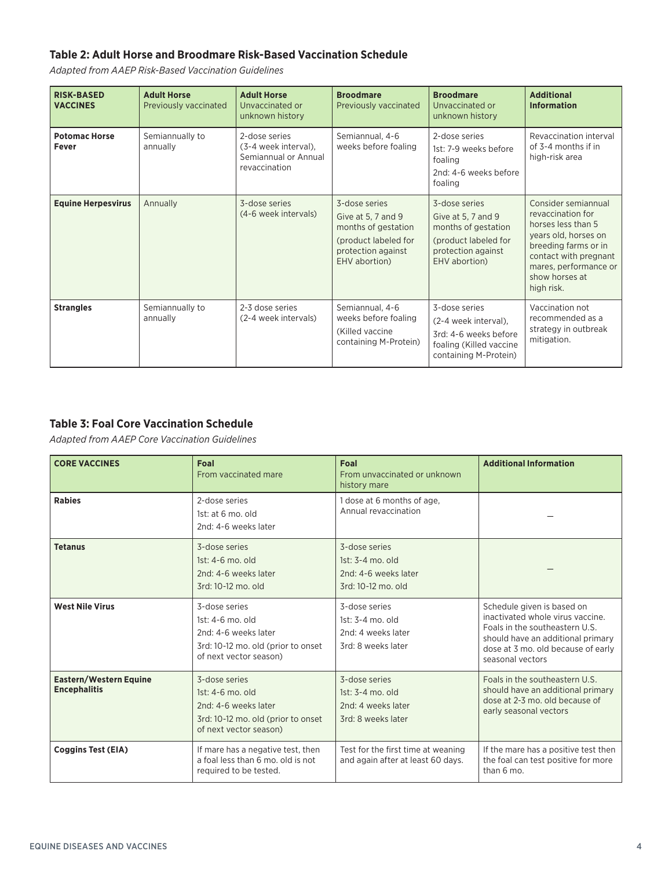# **Table 2: Adult Horse and Broodmare Risk-Based Vaccination Schedule**

*Adapted from AAEP Risk-Based Vaccination Guidelines*

| <b>RISK-BASED</b><br><b>VACCINES</b> | <b>Adult Horse</b><br>Previously vaccinated | <b>Adult Horse</b><br>Unvaccinated or<br>unknown history                       | <b>Broodmare</b><br>Previously vaccinated                                                                                 | <b>Broodmare</b><br>Unvaccinated or<br>unknown history                                                                    | <b>Additional</b><br><b>Information</b>                                                                                                                                                          |
|--------------------------------------|---------------------------------------------|--------------------------------------------------------------------------------|---------------------------------------------------------------------------------------------------------------------------|---------------------------------------------------------------------------------------------------------------------------|--------------------------------------------------------------------------------------------------------------------------------------------------------------------------------------------------|
| <b>Potomac Horse</b><br>Fever        | Semiannually to<br>annually                 | 2-dose series<br>(3-4 week interval).<br>Semiannual or Annual<br>revaccination | Semiannual, 4-6<br>weeks before foaling                                                                                   | 2-dose series<br>1st: 7-9 weeks before<br>foaling<br>2nd: 4-6 weeks before<br>foaling                                     | Revaccination interval<br>of 3-4 months if in<br>high-risk area                                                                                                                                  |
| <b>Equine Herpesvirus</b>            | Annually                                    | 3-dose series<br>(4-6 week intervals)                                          | 3-dose series<br>Give at 5, 7 and 9<br>months of gestation<br>(product labeled for<br>protection against<br>EHV abortion) | 3-dose series<br>Give at 5, 7 and 9<br>months of gestation<br>(product labeled for<br>protection against<br>EHV abortion) | Consider semiannual<br>revaccination for<br>horses less than 5<br>years old, horses on<br>breeding farms or in<br>contact with pregnant<br>mares, performance or<br>show horses at<br>high risk. |
| <b>Strangles</b>                     | Semiannually to<br>annually                 | 2-3 dose series<br>(2-4 week intervals)                                        | Semiannual, 4-6<br>weeks before foaling<br>(Killed vaccine)<br>containing M-Protein)                                      | 3-dose series<br>(2-4 week interval),<br>3rd: 4-6 weeks before<br>foaling (Killed vaccine<br>containing M-Protein)        | Vaccination not<br>recommended as a<br>strategy in outbreak<br>mitigation.                                                                                                                       |

# **Table 3: Foal Core Vaccination Schedule**

*Adapted from AAEP Core Vaccination Guidelines*

| <b>CORE VACCINES</b>                          | Foal<br>From vaccinated mare                                                                                              | Foal<br>From unvaccinated or unknown<br>history mare                            | <b>Additional Information</b>                                                                                                                                                                   |
|-----------------------------------------------|---------------------------------------------------------------------------------------------------------------------------|---------------------------------------------------------------------------------|-------------------------------------------------------------------------------------------------------------------------------------------------------------------------------------------------|
| <b>Rabies</b>                                 | 2-dose series<br>1st: at $6$ mo, old<br>2nd: 4-6 weeks later                                                              | 1 dose at 6 months of age,<br>Annual revaccination                              |                                                                                                                                                                                                 |
| <b>Tetanus</b>                                | 3-dose series<br>1st: 4-6 mo. old<br>2nd: 4-6 weeks later<br>3rd: 10-12 mo. old                                           | 3-dose series<br>1st: 3-4 mo. old<br>2nd: 4-6 weeks later<br>3rd: 10-12 mo. old |                                                                                                                                                                                                 |
| <b>West Nile Virus</b>                        | 3-dose series<br>1st: 4-6 mo. old<br>2nd: 4-6 weeks later<br>3rd: 10-12 mo. old (prior to onset<br>of next vector season) | 3-dose series<br>$1st: 3-4$ mo. old<br>2nd: 4 weeks later<br>3rd: 8 weeks later | Schedule given is based on<br>inactivated whole virus vaccine.<br>Foals in the southeastern U.S.<br>should have an additional primary<br>dose at 3 mo. old because of early<br>seasonal vectors |
| Eastern/Western Equine<br><b>Encephalitis</b> | 3-dose series<br>1st: 4-6 mo. old<br>2nd: 4-6 weeks later<br>3rd: 10-12 mo. old (prior to onset<br>of next vector season) | 3-dose series<br>1st: 3-4 mo. old<br>2nd: 4 weeks later<br>3rd: 8 weeks later   | Foals in the southeastern U.S.<br>should have an additional primary<br>dose at 2-3 mo, old because of<br>early seasonal vectors                                                                 |
| <b>Coggins Test (EIA)</b>                     | If mare has a negative test, then<br>a foal less than 6 mo, old is not<br>required to be tested.                          | Test for the first time at weaning<br>and again after at least 60 days.         | If the mare has a positive test then<br>the foal can test positive for more<br>than 6 mo.                                                                                                       |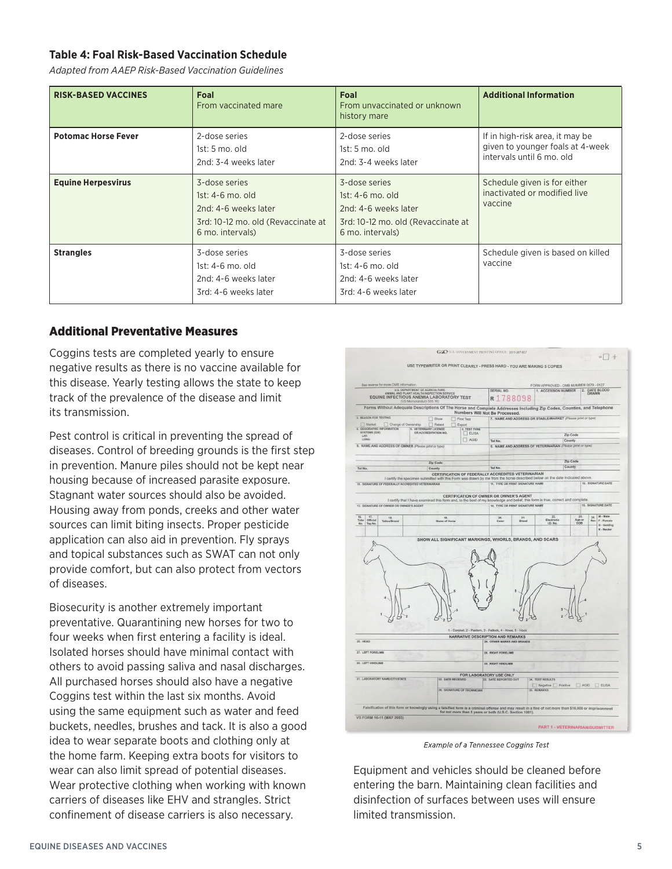# **Table 4: Foal Risk-Based Vaccination Schedule**

*Adapted from AAEP Risk-Based Vaccination Guidelines*

| <b>RISK-BASED VACCINES</b> | Foal<br>From vaccinated mare                                                                                          | Foal<br>From unvaccinated or unknown<br>history mare                                                                  | <b>Additional Information</b>                                                                    |
|----------------------------|-----------------------------------------------------------------------------------------------------------------------|-----------------------------------------------------------------------------------------------------------------------|--------------------------------------------------------------------------------------------------|
| <b>Potomac Horse Fever</b> | 2-dose series<br>1st: 5 mo. old<br>2nd: 3-4 weeks later                                                               | 2-dose series<br>$1st: 5 \text{ mo. old}$<br>2nd: 3-4 weeks later                                                     | If in high-risk area, it may be<br>given to younger foals at 4-week<br>intervals until 6 mo. old |
| <b>Equine Herpesvirus</b>  | 3-dose series<br>$1st: 4-6$ mo. old<br>2nd: 4-6 weeks later<br>3rd: 10-12 mo. old (Revaccinate at<br>6 mo. intervals) | 3-dose series<br>$1st: 4-6$ mo. old<br>2nd: 4-6 weeks later<br>3rd: 10-12 mo. old (Revaccinate at<br>6 mo. intervals) | Schedule given is for either<br>inactivated or modified live<br>vaccine                          |
| <b>Strangles</b>           | 3-dose series<br>$1st: 4-6$ mo. old<br>2nd: 4-6 weeks later<br>3rd: 4-6 weeks later                                   | 3-dose series<br>1st: 4-6 mo. old<br>2nd: 4-6 weeks later<br>3rd: 4-6 weeks later                                     | Schedule given is based on killed<br>vaccine                                                     |

#### Additional Preventative Measures

Coggins tests are completed yearly to ensure negative results as there is no vaccine available for this disease. Yearly testing allows the state to keep track of the prevalence of the disease and limit its transmission.

Pest control is critical in preventing the spread of diseases. Control of breeding grounds is the first step in prevention. Manure piles should not be kept near housing because of increased parasite exposure. Stagnant water sources should also be avoided. Housing away from ponds, creeks and other water sources can limit biting insects. Proper pesticide application can also aid in prevention. Fly sprays and topical substances such as SWAT can not only provide comfort, but can also protect from vectors of diseases.

Biosecurity is another extremely important preventative. Quarantining new horses for two to four weeks when first entering a facility is ideal. Isolated horses should have minimal contact with others to avoid passing saliva and nasal discharges. All purchased horses should also have a negative Coggins test within the last six months. Avoid using the same equipment such as water and feed buckets, needles, brushes and tack. It is also a good idea to wear separate boots and clothing only at the home farm. Keeping extra boots for visitors to wear can also limit spread of potential diseases. Wear protective clothing when working with known carriers of diseases like EHV and strangles. Strict confinement of disease carriers is also necessary.



Example of a Tennessee Coggins Test

Equipment and vehicles should be cleaned before entering the barn. Maintaining clean facilities and disinfection of surfaces between uses will ensure limited transmission.